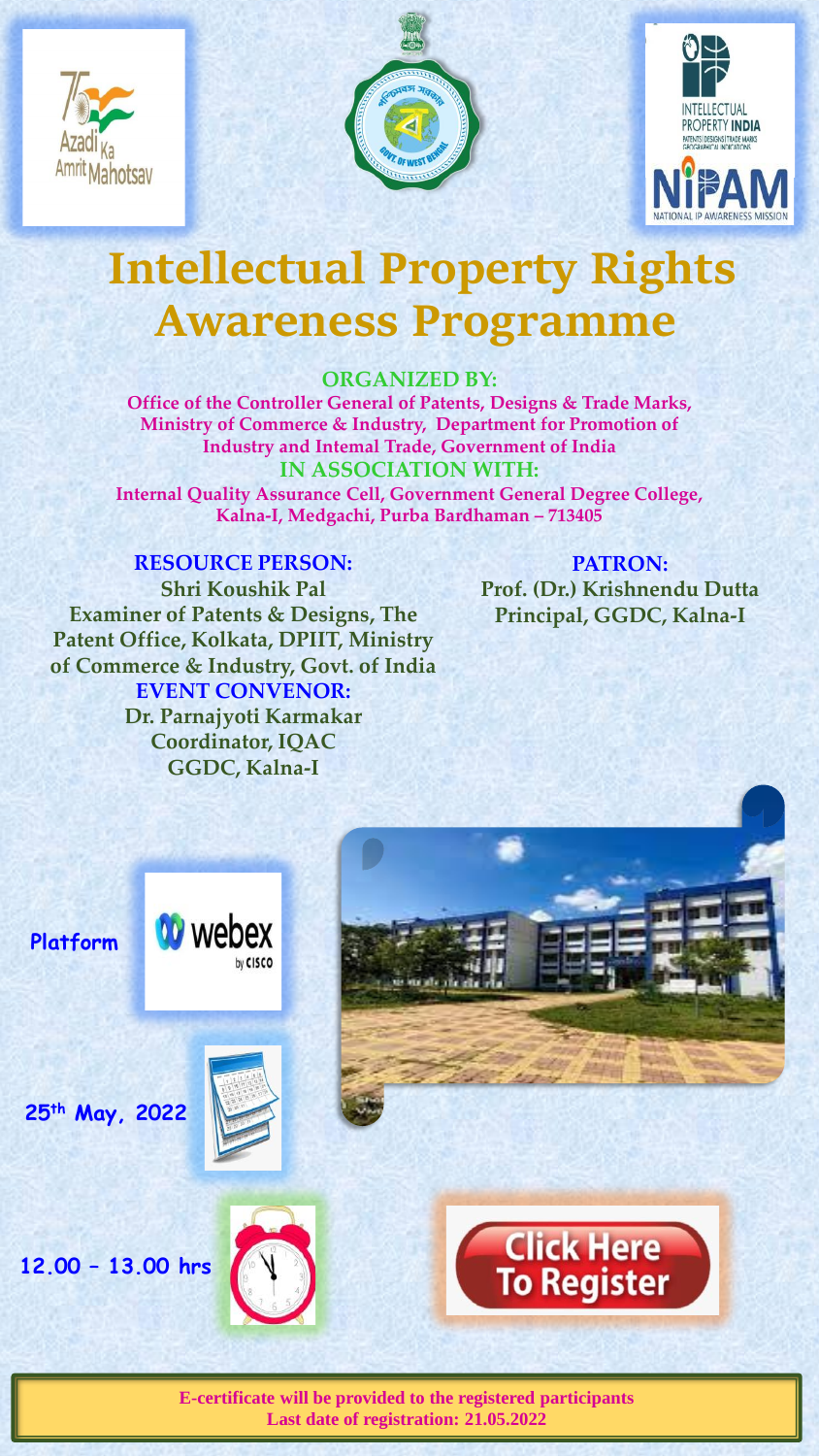





## **Intellectual Property Rights Awareness Programme**

## **ORGANIZED BY:**

**Office of the Controller General of Patents, Designs & Trade Marks, Ministry of Commerce & Industry, Department for Promotion of Industry and Intemal Trade, Government of India IN ASSOCIATION WITH: Internal Quality Assurance Cell, Government General Degree College, Kalna-I, Medgachi, Purba Bardhaman – 713405**

**RESOURCE PERSON: Shri Koushik Pal Examiner of Patents & Designs, The Patent Office, Kolkata, DPIIT, Ministry of Commerce & Industry, Govt. of India EVENT CONVENOR: Dr. Parnajyoti Karmakar Coordinator, IQAC GGDC, Kalna-I** 

**PATRON: Prof. (Dr.) Krishnendu Dutta Principal, GGDC, Kalna-I** 



**E-certificate will be provided to the registered participants Last date of registration: 21.05.2022**